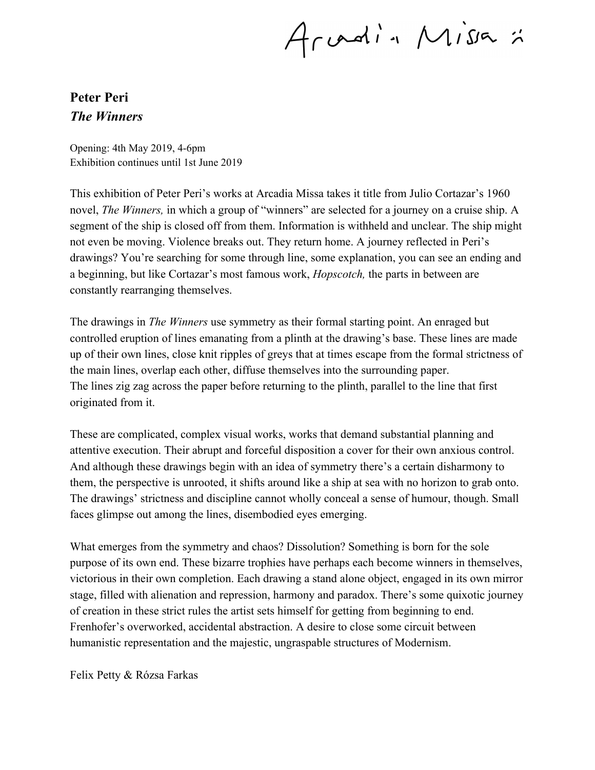Arvadin Missa :

## **Peter Peri** *The Winners*

Opening: 4th May 2019, 4-6pm Exhibition continues until 1st June 2019

This exhibition of Peter Peri's works at Arcadia Missa takes it title from Julio Cortazar's 1960 novel, *The Winners,* in which a group of "winners" are selected for a journey on a cruise ship. A segment of the ship is closed off from them. Information is withheld and unclear. The ship might not even be moving. Violence breaks out. They return home. A journey reflected in Peri's drawings? You're searching for some through line, some explanation, you can see an ending and a beginning, but like Cortazar's most famous work, *Hopscotch,* the parts in between are constantly rearranging themselves.

The drawings in *The Winners* use symmetry as their formal starting point. An enraged but controlled eruption of lines emanating from a plinth at the drawing's base. These lines are made up of their own lines, close knit ripples of greys that at times escape from the formal strictness of the main lines, overlap each other, diffuse themselves into the surrounding paper. The lines zig zag across the paper before returning to the plinth, parallel to the line that first originated from it.

These are complicated, complex visual works, works that demand substantial planning and attentive execution. Their abrupt and forceful disposition a cover for their own anxious control. And although these drawings begin with an idea of symmetry there's a certain disharmony to them, the perspective is unrooted, it shifts around like a ship at sea with no horizon to grab onto. The drawings' strictness and discipline cannot wholly conceal a sense of humour, though. Small faces glimpse out among the lines, disembodied eyes emerging.

What emerges from the symmetry and chaos? Dissolution? Something is born for the sole purpose of its own end. These bizarre trophies have perhaps each become winners in themselves, victorious in their own completion. Each drawing a stand alone object, engaged in its own mirror stage, filled with alienation and repression, harmony and paradox. There's some quixotic journey of creation in these strict rules the artist sets himself for getting from beginning to end. Frenhofer's overworked, accidental abstraction. A desire to close some circuit between humanistic representation and the majestic, ungraspable structures of Modernism.

Felix Petty & Rózsa Farkas